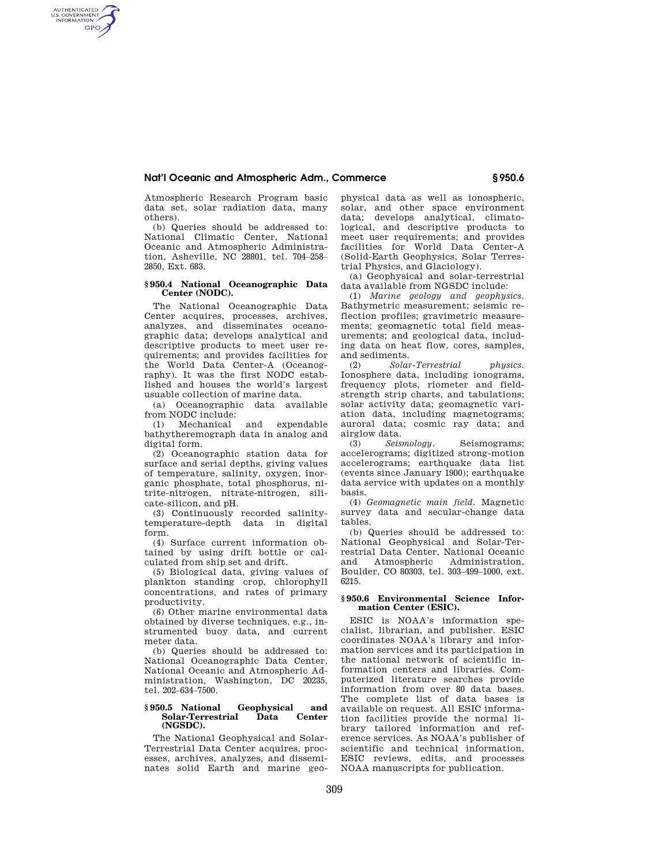# **Nat'l Oceanic and Atmospheric Adm., Commerce § 950.6**

Atmospheric Research Program basic data set, solar radiation data, many others).

AUTHENTICATED<br>U.S. GOVERNMENT<br>INFORMATION **GPO** 

> (b) Queries should be addressed to: National Climatic Center, National Oceanic and Atmospheric Administration, Asheville, NC 28801, tel. 704–258– 2850, Ext. 683.

## **§ 950.4 National Oceanographic Data Center (NODC).**

The National Oceanographic Data Center acquires, processes, archives, analyzes, and disseminates oceanographic data; develops analytical and descriptive products to meet user requirements; and provides facilities for the World Data Center-A (Oceanography). It was the first NODC established and houses the world's largest usuable collection of marine data.

(a) Oceanographic data available from NODC include:

(1) Mechanical and expendable bathytheremograph data in analog and digital form.

(2) Oceanographic station data for surface and serial depths, giving values of temperature, salinity, oxygen, inorganic phosphate, total phosphorus, nitrite-nitrogen, nitrate-nitrogen, silicate-silicon, and pH.

(3) Continuously recorded salinitytemperature-depth data in digital form.

(4) Surface current information obtained by using drift bottle or calculated from ship set and drift.

(5) Biological data, giving values of plankton standing crop, chlorophyll concentrations, and rates of primary productivity.

(6) Other marine environmental data obtained by diverse techniques, e.g., instrumented buoy data, and current meter data.

(b) Queries should be addressed to: National Oceanographic Data Center, National Oceanic and Atmospheric Administration, Washington, DC 20235, tel. 202–634–7500.

#### **§ 950.5 National Geophysical and**   $Solar-Terrestrial$ **(NGSDC).**

The National Geophysical and Solar-Terrestrial Data Center acquires, processes, archives, analyzes, and disseminates solid Earth and marine geophysical data as well as ionospheric, solar, and other space environment data; develops analytical, climatological, and descriptive products to meet user requirements; and provides facilities for World Data Center-A (Solid-Earth Geophysics, Solar Terrestrial Physics, and Glaciology).

(a) Geophysical and solar-terrestrial data available from NGSDC include:

(1) *Marine geology and geophysics.*  Bathymetric measurement; seismic reflection profiles; gravimetric measurements; geomagnetic total field measurements; and geological data, including data on heat flow, cores, samples, and sediments.

(2) *Solar-Terrestrial physics.*  Ionosphere data, including ionograms, frequency plots, riometer and fieldstrength strip charts, and tabulations; solar activity data; geomagnetic variation data, including magnetograms; auroral data; cosmic ray data; and airglow data.<br>(3) Seismology.

(3) *Seismology.* Seismograms; accelerograms; digitized strong-motion accelerograms; earthquake data list (events since January 1900); earthquake data service with updates on a monthly basis.

(4) *Geomagnetic main field.* Magnetic survey data and secular-change data tables.

(b) Queries should be addressed to: National Geophysical and Solar-Terrestrial Data Center, National Oceanic and Atmospheric Administration, Boulder, CO 80303, tel. 303–499–1000, ext. 6215.

# **§ 950.6 Environmental Science Information Center (ESIC).**

ESIC is NOAA's information specialist, librarian, and publisher. ESIC coordinates NOAA's library and information services and its participation in the national network of scientific information centers and libraries. Computerized literature searches provide information from over 80 data bases. The complete list of data bases is available on request. All ESIC information facilities provide the normal library tailored information and reference services. As NOAA's publisher of scientific and technical information, ESIC reviews, edits, and processes NOAA manuscripts for publication.